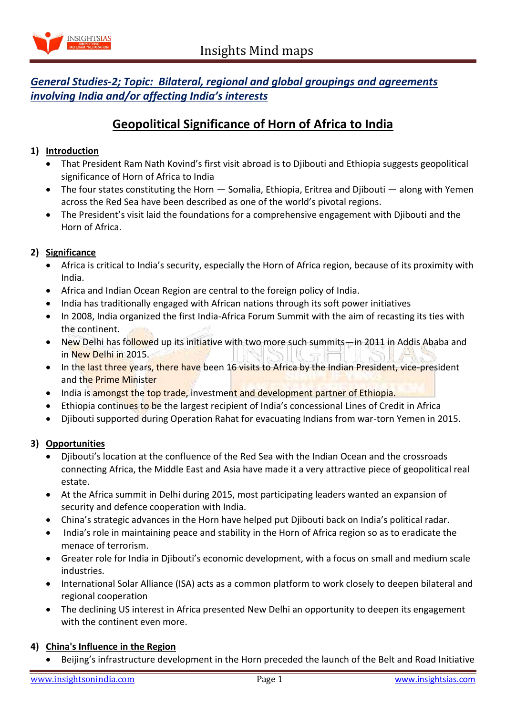

# *General Studies-2; Topic: Bilateral, regional and global groupings and agreements involving India and/or affecting India's interests*

# **Geopolitical Significance of Horn of Africa to India**

### **1) Introduction**

- That President Ram Nath Kovind's first visit abroad is to Djibouti and Ethiopia suggests geopolitical significance of Horn of Africa to India
- The four states constituting the Horn Somalia, Ethiopia, Eritrea and Djibouti along with Yemen across the Red Sea have been described as one of the world's pivotal regions.
- The President's visit laid the foundations for a comprehensive engagement with Djibouti and the Horn of Africa.

#### **2) Significance**

- Africa is critical to India's security, especially the Horn of Africa region, because of its proximity with India.
- Africa and Indian Ocean Region are central to the foreign policy of India.
- India has traditionally engaged with African nations through its soft power initiatives
- In 2008, India organized the first India-Africa Forum Summit with the aim of recasting its ties with the continent.
- New Delhi has followed up its initiative with two more such summits—in 2011 in Addis Ababa and in New Delhi in 2015.
- In the last three years, there have been 16 visits to Africa by the Indian President, vice-president and the Prime Minister
- India is amongst the top trade, investment and development partner of Ethiopia.
- Ethiopia continues to be the largest recipient of India's concessional Lines of Credit in Africa
- Djibouti supported during Operation Rahat for evacuating Indians from war-torn Yemen in 2015.

#### **3) Opportunities**

- Djibouti's location at the confluence of the Red Sea with the Indian Ocean and the crossroads connecting Africa, the Middle East and Asia have made it a very attractive piece of geopolitical real estate.
- At the Africa summit in Delhi during 2015, most participating leaders wanted an expansion of security and defence cooperation with India.
- China's strategic advances in the Horn have helped put Djibouti back on India's political radar.
- India's role in maintaining peace and stability in the Horn of Africa region so as to eradicate the menace of terrorism.
- Greater role for India in Djibouti's economic development, with a focus on small and medium scale industries.
- International Solar Alliance (ISA) acts as a common platform to work closely to deepen bilateral and regional cooperation
- The declining US interest in Africa presented New Delhi an opportunity to deepen its engagement with the continent even more.

#### **4) China's Influence in the Region**

Beijing's infrastructure development in the Horn preceded the launch of the Belt and Road Initiative